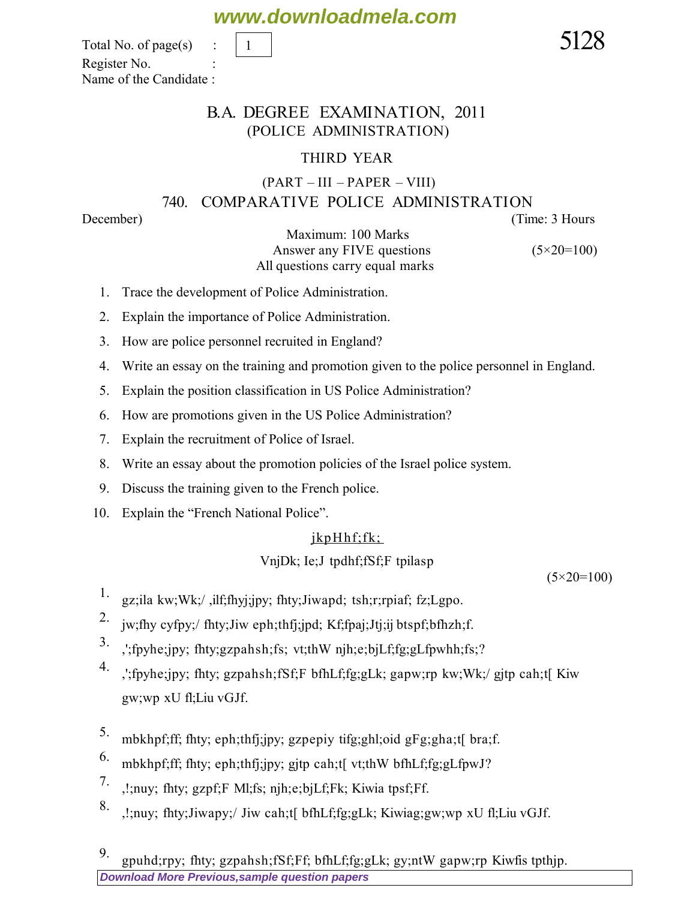**[Download More Previous,sample question papers](http://downloadmela.com/pages/previouspapers/previouspapers.html)** 9. gpuhd;rpy; fhty; gzpahsh;fSf;Ff; bfhLf;fg;gLk; gy;ntW gapw;rp Kiwfis tpthjp.

# **www.downloadmela.com**

Total No. of page(s)  $\qquad \qquad$   $\boxed{1}$ Register No. : Name of the Candidate :

### B.A. DEGREE EXAMINATION, 2011 (POLICE ADMINISTRATION)

## THIRD YEAR

# (PART – III – PAPER – VIII)

# 740. COMPARATIVE POLICE ADMINISTRATION

*December*) (*Time: 3 Hours*

Maximum: 100 Marks

 *Answer any FIVE questions (5×20=100) All questions carry equal marks* 

1. Trace the development of Police Administration.

1

- 2. Explain the importance of Police Administration.
- 3. How are police personnel recruited in England?
- 4. Write an essay on the training and promotion given to the police personnel in England.
- 5. Explain the position classification in US Police Administration?
- 6. How are promotions given in the US Police Administration?
- 7. Explain the recruitment of Police of Israel.
- 8. Write an essay about the promotion policies of the Israel police system.
- 9. Discuss the training given to the French police.
- 10. Explain the "French National Police".

## $ikpH$ h $f$ ; $fk$ ;

# VnjDk; Ie;J tpdhf;fSf;F tpilasp

 *(5×20=100)*

- 1. gz;ila kw;Wk;/,ilf;fhyj;jpy; fhty;Jiwapd; tsh;r;rpiaf; fz;Lgpo.
- 2. jw;fhy cyfpy;/ fhty;Jiw eph;thfj;jpd; Kf;fpaj;Jtj;ij btspf;bfhzh;f.
- 3. ,';fpyhe;jpy; fhty;gzpahsh;fs; vt;thW njh;e;bjLf;fg;gLfpwhh;fs;?
- 4. ,';fpyhe;jpy; fhty; gzpahsh;fSf;F bfhLf;fg;gLk; gapw;rp kw;Wk;/ gjtp cah;t[ Kiw gw;wp xU fl;Liu vGJf.
- 5. mbkhpf;ff; fhty; eph;thfj;jpy; gzpepiy tifg;ghl;oid gFg;gha;t[ bra;f.
- 6. mbkhpf;ff; fhty; eph;thfj;jpy; gjtp cah;t[ vt;thW bfhLf;fg;gLfpwJ?
- 7. ,!;nuy; fhty; gzpf;F Ml;fs; njh;e;bjLf;Fk; Kiwia tpsf;Ff.
- 8. ,!;nuy; fhty;Jiwapy;/ Jiw cah;t[ bfhLf;fg;gLk; Kiwiag;gw;wp xU fl;Liu vGJf.